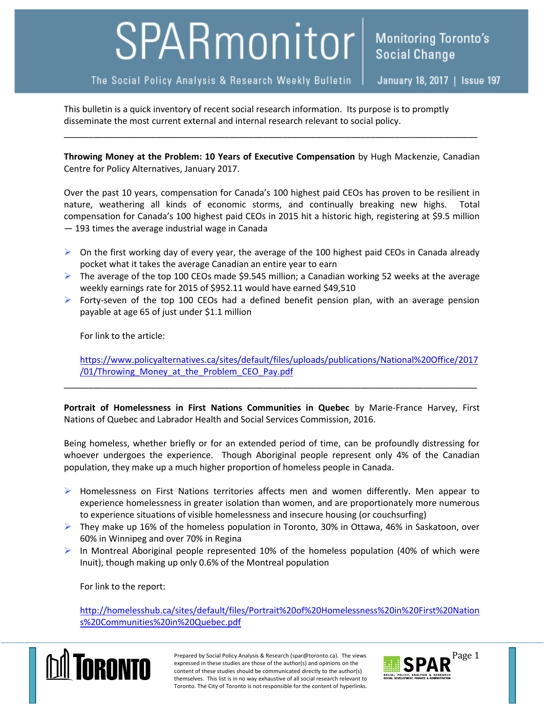## SPARmonitor

The Social Policy Analysis & Research Weekly Bulletin

January 18, 2017 | Issue 197

This bulletin is a quick inventory of recent social research information. Its purpose is to promptly disseminate the most current external and internal research relevant to social policy.

**Throwing Money at the Problem: 10 Years of Executive Compensation** by Hugh Mackenzie, Canadian Centre for Policy Alternatives, January 2017.

\_\_\_\_\_\_\_\_\_\_\_\_\_\_\_\_\_\_\_\_\_\_\_\_\_\_\_\_\_\_\_\_\_\_\_\_\_\_\_\_\_\_\_\_\_\_\_\_\_\_\_\_\_\_\_\_\_\_\_\_\_\_\_\_\_\_\_\_\_\_\_\_\_\_\_\_\_\_\_\_\_\_\_\_\_

Over the past 10 years, compensation for Canada's 100 highest paid CEOs has proven to be resilient in nature, weathering all kinds of economic storms, and continually breaking new highs. Total compensation for Canada's 100 highest paid CEOs in 2015 hit a historic high, registering at \$9.5 million — 193 times the average industrial wage in Canada

- $\triangleright$  On the first working day of every year, the average of the 100 highest paid CEOs in Canada already pocket what it takes the average Canadian an entire year to earn
- $\triangleright$  The average of the top 100 CEOs made \$9.545 million; a Canadian working 52 weeks at the average weekly earnings rate for 2015 of \$952.11 would have earned \$49,510
- Forty-seven of the top 100 CEOs had a defined benefit pension plan, with an average pension payable at age 65 of just under \$1.1 million

For link to the article:

[https://www.policyalternatives.ca/sites/default/files/uploads/publications/National%20Office/2017](https://www.policyalternatives.ca/sites/default/files/uploads/publications/National%20Office/2017/01/Throwing_Money_at_the_Problem_CEO_Pay.pdf) /01/Throwing Money at the Problem CEO Pay.pdf

**Portrait of Homelessness in First Nations Communities in Quebec** by Marie-France Harvey, First Nations of Quebec and Labrador Health and Social Services Commission, 2016.

\_\_\_\_\_\_\_\_\_\_\_\_\_\_\_\_\_\_\_\_\_\_\_\_\_\_\_\_\_\_\_\_\_\_\_\_\_\_\_\_\_\_\_\_\_\_\_\_\_\_\_\_\_\_\_\_\_\_\_\_\_\_\_\_\_\_\_\_\_\_\_\_\_\_\_\_\_\_\_\_\_\_\_\_\_

Being homeless, whether briefly or for an extended period of time, can be profoundly distressing for whoever undergoes the experience. Though Aboriginal people represent only 4% of the Canadian population, they make up a much higher proportion of homeless people in Canada.

- > Homelessness on First Nations territories affects men and women differently. Men appear to experience homelessness in greater isolation than women, and are proportionately more numerous to experience situations of visible homelessness and insecure housing (or couchsurfing)
- $\triangleright$  They make up 16% of the homeless population in Toronto, 30% in Ottawa, 46% in Saskatoon, over 60% in Winnipeg and over 70% in Regina
- In Montreal Aboriginal people represented 10% of the homeless population (40% of which were Inuit), though making up only 0.6% of the Montreal population

For link to the report:

[http://homelesshub.ca/sites/default/files/Portrait%20of%20Homelessness%20in%20First%20Nation](http://homelesshub.ca/sites/default/files/Portrait%20of%20Homelessness%20in%20First%20Nations%20Communities%20in%20Quebec.pdf) [s%20Communities%20in%20Quebec.pdf](http://homelesshub.ca/sites/default/files/Portrait%20of%20Homelessness%20in%20First%20Nations%20Communities%20in%20Quebec.pdf)



Prepared by Social Policy Analysis & Research (spar@toronto.ca). The views Page 1 expressed in these studies are those of the author(s) and opinions on the content of these studies should be communicated directly to the author(s) themselves. This list is in no way exhaustive of all social research relevant to Toronto. The City of Toronto is not responsible for the content of hyperlinks.

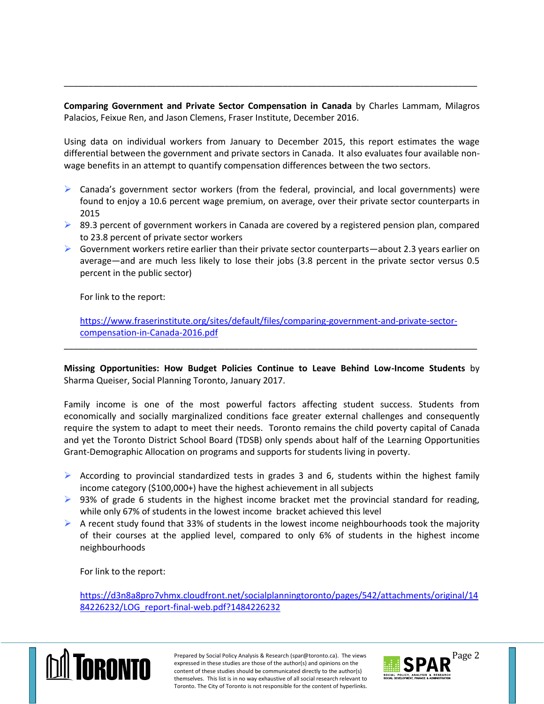**Comparing Government and Private Sector Compensation in Canada** by Charles Lammam, Milagros Palacios, Feixue Ren, and Jason Clemens, Fraser Institute, December 2016.

\_\_\_\_\_\_\_\_\_\_\_\_\_\_\_\_\_\_\_\_\_\_\_\_\_\_\_\_\_\_\_\_\_\_\_\_\_\_\_\_\_\_\_\_\_\_\_\_\_\_\_\_\_\_\_\_\_\_\_\_\_\_\_\_\_\_\_\_\_\_\_\_\_\_\_\_\_\_\_\_\_\_\_\_\_

Using data on individual workers from January to December 2015, this report estimates the wage differential between the government and private sectors in Canada. It also evaluates four available nonwage benefits in an attempt to quantify compensation differences between the two sectors.

- $\triangleright$  Canada's government sector workers (from the federal, provincial, and local governments) were found to enjoy a 10.6 percent wage premium, on average, over their private sector counterparts in 2015
- $\triangleright$  89.3 percent of government workers in Canada are covered by a registered pension plan, compared to 23.8 percent of private sector workers
- $\triangleright$  Government workers retire earlier than their private sector counterparts—about 2.3 years earlier on average—and are much less likely to lose their jobs (3.8 percent in the private sector versus 0.5 percent in the public sector)

For link to the report:

[https://www.fraserinstitute.org/sites/default/files/comparing-government-and-private-sector](https://www.fraserinstitute.org/sites/default/files/comparing-government-and-private-sector-compensation-in-Canada-2016.pdf)[compensation-in-Canada-2016.pdf](https://www.fraserinstitute.org/sites/default/files/comparing-government-and-private-sector-compensation-in-Canada-2016.pdf)

\_\_\_\_\_\_\_\_\_\_\_\_\_\_\_\_\_\_\_\_\_\_\_\_\_\_\_\_\_\_\_\_\_\_\_\_\_\_\_\_\_\_\_\_\_\_\_\_\_\_\_\_\_\_\_\_\_\_\_\_\_\_\_\_\_\_\_\_\_\_\_\_\_\_\_\_\_\_\_\_\_\_\_\_\_

**Missing Opportunities: How Budget Policies Continue to Leave Behind Low-Income Students** by Sharma Queiser, Social Planning Toronto, January 2017.

Family income is one of the most powerful factors affecting student success. Students from economically and socially marginalized conditions face greater external challenges and consequently require the system to adapt to meet their needs. Toronto remains the child poverty capital of Canada and yet the Toronto District School Board (TDSB) only spends about half of the Learning Opportunities Grant-Demographic Allocation on programs and supports for students living in poverty.

- $\triangleright$  According to provincial standardized tests in grades 3 and 6, students within the highest family income category (\$100,000+) have the highest achievement in all subjects
- $\triangleright$  93% of grade 6 students in the highest income bracket met the provincial standard for reading, while only 67% of students in the lowest income bracket achieved this level
- $\triangleright$  A recent study found that 33% of students in the lowest income neighbourhoods took the majority of their courses at the applied level, compared to only 6% of students in the highest income neighbourhoods

For link to the report:

[https://d3n8a8pro7vhmx.cloudfront.net/socialplanningtoronto/pages/542/attachments/original/14](https://d3n8a8pro7vhmx.cloudfront.net/socialplanningtoronto/pages/542/attachments/original/1484226232/LOG_report-final-web.pdf?1484226232) [84226232/LOG\\_report-final-web.pdf?1484226232](https://d3n8a8pro7vhmx.cloudfront.net/socialplanningtoronto/pages/542/attachments/original/1484226232/LOG_report-final-web.pdf?1484226232)